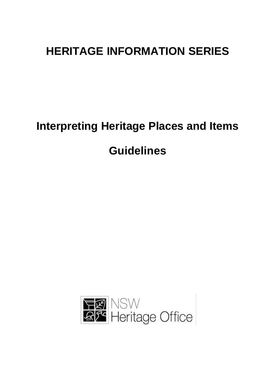# **HERITAGE INFORMATION SERIES**

# **Interpreting Heritage Places and Items Guidelines**

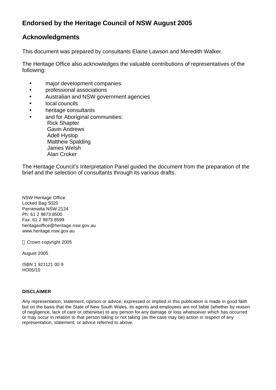# **Endorsed by the Heritage Council of NSW August 2005**

# **Acknowledgments**

This document was prepared by consultants Elaine Lawson and Meredith Walker.

The Heritage Office also acknowledges the valuable contributions of representatives of the following:

- major development companies
- professional associations
- Australian and NSW government agencies
- local councils
- heritage consultants
- and for Aboriginal communities: Rick Shapter Gavin Andrews Adell Hyslop Matthew Spalding James Welsh Alan Croker

The Heritage Council's Interpretation Panel guided the document from the preparation of the brief and the selection of consultants through its various drafts.

NSW Heritage Office Locked Bag 5020 Parramatta NSW 2124 Ph: 61 2 9873 8500 Fax: 61 2 9873 8599 heritageoffice@heritage.nsw.gov.au www.heritage.nsw.gov.au

Crown copyright 2005

August 2005

ISBN 1 921121 00 9 HO05/10

# **DISCLAIMER**

Any representation, statement, opinion or advice, expressed or implied in this publication is made in good faith but on the basis that the State of New South Wales, its agents and employees are not liable (whether by reason of negligence, lack of care or otherwise) to any person for any damage or loss whatsoever which has occurred or may occur in relation to that person taking or not taking (as the case may be) action in respect of any representation, statement, or advice referred to above.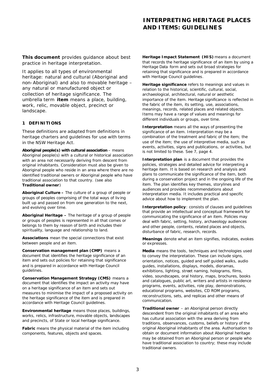**This document** provides guidance about best practice in heritage interpretation.

It applies to all types of environmental heritage: natural and cultural (Aboriginal and non-Aboriginal) and also to movable heritage – any natural or manufactured object or collection of heritage significance. The umbrella term **item** means a place, building, work, relic, movable object, precinct or landscape.

## **1 DEFINITIONS**

These definitions are adapted from definitions in heritage charters and guidelines for use with terms in the NSW Heritage Act.

**Aboriginal people(s) with cultural association** – means Aboriginal people(s) with a cultural or historical association with an area not necessarily deriving from descent from original inhabitants. Consideration must also be given to Aboriginal people who reside in an area where there are no identified traditional owners or Aboriginal people who have traditional association to that country. (see also **Traditional owner**)

**Aboriginal Culture –** The culture of a group of people or groups of peoples comprising of the total ways of liv ing built up and passed on from one generation to the next, and evolving over time.

**Aboriginal Heritage –** The heritage of a group of people or groups of peoples is represented in all that comes or belongs to them by reason of birth and includes their spirituality, language and relationship to land.

**Associations** mean the special connections that exist between people and an item.

**Conservation management plan (CMP)** means a document that identifies the heritage significance of an item and sets out policies for retaining that significance and is prepared in accordance with Heritage Council guidelines.

**Conservation Management Strategy (CMS)** means a document that identifies the impact an activity may have on a heritage significance of an item and sets out measures to minimise the impact of a proposed activity on the heritage significance of the item and is prepared in accordance with Heritage Council guidelines.

**Environmental heritage** means those places, buildings, works, relics, infrastructure, movable objects, landscapes and precincts, of State or local heritage significance.

**Fabric** means the physical material of the item including components, features, objects and spaces.

**Heritage Impact Statement (HIS)** means a document that records the heritage significance of an item by using a Heritage Data form and sets out broad strategies for retaining that significance and is prepared in accordance with Heritage Council guidelines.

**Heritage significance** refers to meanings and values in relation to the historical, scientific, cultural, social, archaeological, architectural, natural or aesthetic importance of the item. Heritage significance is reflected in the fabric of the item, its setting, use, associations, meanings, records, related places and related objects. Items may have a range of values and meanings for different individuals or groups, over time.

**Interpretation** means all the ways of presenting the significance of an item. Interpretation may be a combination of the treatment and fabric of the item; the use of the item; the use of interpretive media, such as events, activities, signs and publications, or activities, but is not limited to these. See 7, page 4.

**Interpretation plan** is a document that provides the policies, strategies and detailed advice for interpreting a heritage item. It is based on research and analysis and plans to communicate the significance of the item, both during a conservation project and in the ongoing life of the item. The plan identifies key themes, storylines and audiences and provides recommendations about interpretation media. It includes practical and specific advice about how to implement the plan.

**Interpretation policy: consists of clauses and quidelines** that provide an intellectual and conceptual framework for communicating the significance of an item. Policies may deal with fabric, setting, history, archaeology audiences and other people, contents, related places and objects, disturbance of fabric, research, records.

**Meanings** denote what an item signifies, indicates, evokes or expresses.

**Media** means the tools, techniques and technologies used to convey the interpretation. These can include signs, orientation, notices, guided and self guided walks, audio guides, installations, displays, models, dioramas, exhibitions, lighting, street naming, holograms, films, video, soundscapes, oral history, maps, brochures, books and catalogues, public art, writers and artists in residence programs, events, activities, role play, demonstrations, educational programs, websites, CD ROM programs, reconstructions, sets, and replicas and other means of communication.

**Traditional owner** – an Aboriginal person directly descendent from the original inhabitants of an area who has cultural association with the area deriving from traditions, observances, customs, beliefs or history of the original Aboriginal inhabitants of the area. Authorisation to obtain or document information about Aboriginal heritage may be obtained from an Aboriginal person or people who have traditional association to country; these may include traditional owners.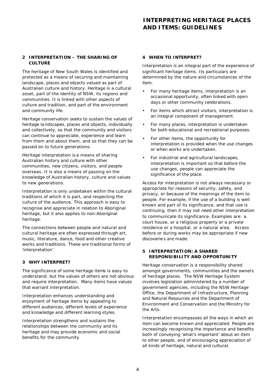# **2 INTERPRETATION – THE SHARING OF CULTURE**

The heritage of New South Wales is identified and protected as a means of securing and maintaining landscape, places and objects valued as part of Australian culture and history. Heritage is a cultural asset, part of the identity of NSW, its regions and communities. It is linked with other aspects of culture and tradition, and part of the environment and community life.

Heritage conservation seeks to sustain the values of heritage landscapes, places and objects, individually and collectively, so that the community and visitors can continue to appreciate, experience and learn from them and about them, and so that they can be passed on to future generations.

Heritage interpretation is a means of sharing Australian history and culture with other communities, new citizens, visitors, and people overseas. It is also a means of passing on the knowledge of Australian history, culture and values to new generations.

Interpretation is only undertaken within the cultural traditions of which it is part, and respecting the culture of the audience. This approach is easy to recognise and appreciate in relation to Aboriginal heritage, but it also applies to non-Aboriginal heritage.

The connections between people and natural and cultural heritage are often expressed through art, music, literature, dance, food and other creative works and traditions. These are traditional forms of 'interpretation'.

# **3 WHY INTERPRET?**

The significance of some heritage items is easy to understand; but the values of others are not obvious and require interpretation. Many items have values that warrant interpretation.

Interpretation enhances understanding and enjoyment of heritage items by appealing to different audiences, different levels of experience and knowledge and different learning styles.

Interpretation strengthens and sustains the relationships between the community and its heritage and may provide economic and social benefits for the community.

## **4 WHEN TO INTERPRET?**

Interpretation is an integral part of the experience of significant heritage items. Its particulars are determined by the nature and circumstances of the item.

- For many heritage items, interpretation is an occasional opportunity, often linked with open days or other community celebrations.
- For items which attract visitors, interpretation is an integral component of management.
- For many places, interpretation is undertaken for both educational and recreational purposes.
- For other items, the opportunity for interpretation is provided when the use changes or when works are undertaken.
- For industrial and agricultural landscapes, interpretation is important so that before the use changes, people can appreciate the significance of the place.

Access for interpretation is not always necessary or appropriate for reasons of security, safety, and privacy, or because of the meanings of the item to people. For example, if the use of a building is well known and part of its significance, and that use is continuing, then it may not need other interpretation to communicate its significance. Examples are: a court house, or a religious property or a private residence or a hospital, or a natural area. Access before or during works may be appropriate if new discoverie s are made.

## **5 INTERPRETATION: A SHARED RESPONSIBILITY AND OPPORTUNITY**

Heritage conservation is a responsibility shared amongst governments, communities and the owners of heritage places. The NSW Heritage System involves legislation administered by a number of government agencies, including the NSW Heritage Office, the Department of Infrastructure, Planning and Natural Resources and the Department of Environment and Conservation and the Ministry for the Arts.

Interpretation encompasses all the ways in which an item can become known and appreciated. People are increasingly recognising the importance and benefits both of conveying 'what's important' about an item to other people, and of encouraging appreciation of all kinds of heritage, natural and cultural.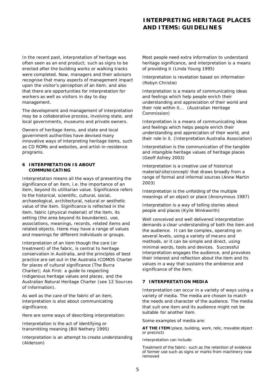In the recent past, interpretation of heritage was often seen as an end product; such as signs to be erected after the building works or walking tracks were completed. Now, managers and their advisors recognise that many aspects of management impact upon the visitor's perception of an item; and also that there are opportunities for interpretation for workers as well as visitors in day to day management.

The development and management of interpretation may be a collaborative process, involving state, and local governments, museums and private owners.

Owners of heritage items, and state and local government authorities have devised many innovative ways of interpreting heritage items, such as CD ROMs and websites, and artist-in-residence programs.

## **6 INTERPRETATION IS ABOUT COMMUNICATING**

Interpretation means all the ways of presenting the significance of an item, i.e. the importance of an item, beyond its utilitarian value. Significance refers to the historical, scientific, cultural, social, archaeological, architectural, natural or aesthetic value of the item. Significance is reflected in the item, fabric (physical material) of the item, its setting (the area beyond its boundaries), use, associations, meanings, records, related items and related objects. Items may have a range of values and meanings for different individuals or groups.

Interpretation of an item though the care (or treatment) of the fabric, is central to heritage conservation in Australia, and the principles of best practice are set out in the *Australia ICOMOS Charter for places of cultural significance (The Burra Charter*); *Ask First: a guide to respecting Indigenous heritage values and places*, and the *Australian Natural Heritage Charter* (see 12 Sources of Information).

As well as the care of the fabric of an item, interpretation is also about communicating significance.

Here are some ways of describing interpretation:

*Interpretation is the act of identifying or transmitting meaning* (Bill Nethery 1995)

*Interpretation is an attempt to create understanding*  (Alderson)

*Most people need extra information to understand heritage significance, and interpretation is a means of providing it* (Linda Young 1995)

*Interpretation is revelation based on information*  (Robyn Christie)

*Interpretation is a means of communicating ideas and feelings which help people enrich their understanding and appreciation of their world and their role within it...* (Australian Heritage Commission*)*

*Interpretation is a means of communicating ideas and feelings which helps people enrich their understanding and appreciation of their world, and their role in it.* (Interpretation Australia Association)

*Interpretation is the communication of the tangible and intangible heritage values of heritage places*  (Geoff Ashley 2003)

*Interpretation is a creative use of historical material/site/concept/ that draws broadly from a range of formal and informal sources* (Anne Martin 2003)

*Interpretation is the unfolding of the multiple meanings of an object or place* (Anonymous 1987)

*Interpretation is a way of telling stories about people and places* (Kylie Winkworth)

Well conceived and well delivered interpretation demands a clear understanding of both the item and the audience. It can be complex, operating on several levels, using a variety of me ans and methods, or it can be simple and direct, using minimal words, tools and devices. Successful interpretation engages the audience, and provokes their interest and reflection about the item and its values in a way that sustains the ambience and significance of the item.

## **7 INTERPRETATION MEDIA**

Interpretation can occur in a variety of ways using a variety of media. The media are chosen to match the needs and character of the audience. The media that suit one item and its audience might not be suitable for another item.

Some examples of media are:

**AT THE ITEM** (place, building, work, relic, movable object or precinct)

Interpretation can include:

Treatment of the fabric- such as the retention of evidence of former use such as signs or marks from machinery now removed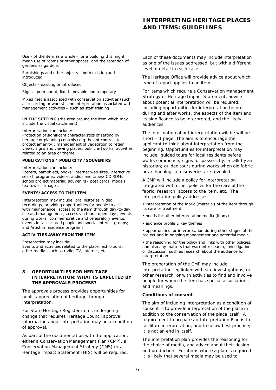Use - of the item as a whole - for a building this might mean use of rooms or other spaces, and the retention of gardens as gardens

Furnishings and other objects – both existing and introduced

Objects - existing or introduced

Signs - permanent, fixed, movable and temporary

Mixed media associated with conservation activities (such as recording or works); and interpretation associated with management activities – such as staff training

**IN THE SETTING** (the area around the item which may include the visual catchment)

Interpretation can include:

Protection of significant characteristics of setting by heritage or planning controls (e.g. height controls to protect amenity); management of vegetation to retain views; signs and viewing places; public artworks, activities related to an area or theme.

#### **PUBLICATIONS / PUBLICITY /SOUVENIRS**

Interpretation can include:

Posters, pamphlets, books; internet web sites, interactive search programs; videos, audios and tapes/ CD ROMs; school project material; souvenirs - post cards, models, tea towels, images.

#### **EVENTS/ACCESS TO THE ITEM**

Interpretation may include: oral histories, video recordings, providing opportunities for people to assist with maintenance; access to the item through day-to-day use and management; access via tours, open days, events during works; commemorative and celebratory events; events for associated people and special interest groups; and Artist in residence programs.

#### **ACTIVITIES AWAY FROM THE ITEM**

Presentation may include:

Events and activities related to the place; exhibitions; other media –such as radio, TV, internet, etc.

## **8 OPPORTUNITIES FOR HERITAGE INTERPRETATION: WHAT IS EXPECTED BY THE APPROVALS PROCESS?**

The approvals process provides opportunities for public appreciation of heritage through interpretation.

For State Heritage Register items undergoing change that requires Heritage Council approval, information about interpretation may be a condition of approval.

As part of the documentation with the application, either a Conservation Management Plan (CMP), a Conservation Management Strategy (CMS) or a Heritage Impact Statement (HIS) will be required.

Each of these documents may include *interpretation* as one of the issues addressed, but with a different level of detail in each case.

The Heritage Office will provide advice about which type of report applies to an item.

For items which require a Conservation Management Strategy or Heritage Impact Statement, advice about potential interpretation will be required, including opportunities for interpretation before, during and after works, the aspects of the item and its significance to be interpreted, and the likely audiences.

The information about interpretation will be will be short – 1 page. The aim is to encourage the applicant to think about interpretation from the beginning. Opportunities for interpretation may include: guided tours for local residents before works commence; signs for passers by; a talk by an historian; guided tours during works when old fabric or archaeological discoveries are revealed.

A CMP will include a policy for interpretation integrated with other policies for the care of the fabric, research, access to the item, etc. The interpretation policy addresses:

• interpretation of the fabric (material) of the item through its care or treatment

- needs for other interpretation media (if any)
- audience profile & key themes

• opportunities for interpretation during other stages of the project and in ongoing management and potential media

• the reasoning for the policy and links with other policies; and also any matters that warrant research, investigation or discussion, such as research about the audience for interpretation.

The preparation of the CMP may include interpretation, eg linked with site investigations, or other research, or with activities to find and involve people for whom the item has special associations and meanings.

#### **Conditions of consent**

The aim of including interpretation as a condition of consent is to provide interpretation of the place *in addition to the conservation of the place itself*. A requirement to prepare an Interpretation Plan is to facilitate interpretation, and to follow best practice; it is not an end in itself.

The *interpretation plan* provides the reasoning for the choice of media, and advice about their design and production. For items where a plan is required it is likely that several media may be used to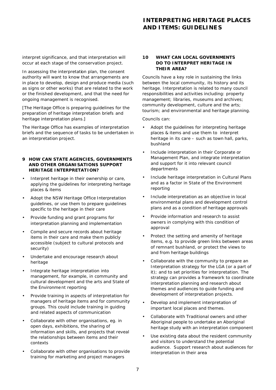interpret significance, and that interpretation will occur at each stage of the conservation project.

In assessing the interpretation plan, the consent authority will want to know that arrangements are in place to develop, design and produce media (such as signs or other works) that are related to the work or the finished development, and that the need for ongoing management is recognised.

[The Heritage Office is preparing guidelines for the preparation of h*eritage interpretation briefs* and h*eritage interpretation plans.*]

The Heritage Office has examples of interpretation briefs and the sequence of tasks to be undertaken in an interpretation project.

## **9 HOW CAN STATE AGENCIES, GOVERNMENTS AND OTHER ORGANISATIONS SUPPORT HERITAGE INTERPRETATION?**

- Interpret heritage in their ownership or care, applying the *guidelines for interpreting heritage places & items*
- Adopt the NSW Heritage Office *Interpretation guidelines,* or use them to prepare guidelines specific to the heritage in their care
- Provide funding and grant programs for interpretation planning and implementation
- Compile and secure records about heritage items in their care and make them publicly accessible (subject to cultural protocols and security)
- Undertake and encourage research about heritage
- Integrate heritage interpretation into management, for example, in community and cultural development and the arts and State of the Environme nt reporting
- Provide training in aspects of interpretation for managers of heritage items and for community groups. This could include training in guiding and related aspects of communication
- Collaborate with other organisations, eg. in open days, exhibitions, the sharing of information and skills, and projects that reveal the relationships between items and their contexts
- Collaborate with other organisations to provide training for marketing and project managers

## **10 WHAT CAN LOCAL GOVERNMENTS DO TO INTERPRET HERITAGE IN THEIR AREA?**

Councils have a key role in sustaining the links between the local community, its history and its heritage. Interpretation is related to many council responsibilities and activities including: property management; libraries, museums and archives; community development, culture and the arts; tourism; and environmental and heritage planning.

Councils can:

- Adopt the *guidelines for interpreting heritage places & items* and use them to interpret heritage in its care – such as town hall, parks, bushland
- Include interpretation in their Corporate or Management Plan, and integrate interpretation and support for it into relevant council departments
- Include heritage interpretation in Cultural Plans and as a factor in State of the Environment reporting
- Include interpretation as an objective in local environmental plans and development control plans and as a condition of heritage approvals
- Provide information and research to assist owners in complying with this condition of approval
- Protect the setting and amenity of heritage items, e.g. to provide green links between areas of remnant bushland, or protect the views to and from heritage buildings
- Collaborate with the community to prepare an Interpretation strategy for the LGA (or a part of it); and to set priorities for interpretation. The strategy can provides a framework to coordinate interpretation planning and research about themes and audiences to guide funding and development of interpretation projects.
- Develop and implement interpretation of important local places and themes.
- Collaborate with Traditional owners and other Aboriginal people to undertake an Aboriginal heritage study with an interpretation component
- Use existing data about the resident community and visitors to understand the potential audience. Support research about audiences for interpretation in their area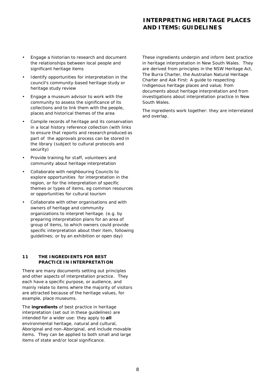- Engage a historian to research and document the relationships between local people and significant heritage items
- Identify opportunities for interpretation in the council's community-based heritage study or heritage study review
- Engage a museum advisor to work with the community to assess the significance of its collections and to link them with the people, places and historical themes of the area
- Compile records of heritage and its conservation in a local history reference collection (with links to ensure that reports and research produced as part of the approvals process can be stored in the library (subject to cultural protocols and security)
- Provide training for staff, volunteers and community about heritage interpretation
- Collaborate with neighbouring Councils to explore opportunities for interpretation in the region, or for the interpretation of specific themes or types of items, eg common resources or opportunities for cultural tourism
- Collaborate with other organisations and with owners of heritage and community organizations to interpret heritage. (e.g. by preparing interpretation plans for an area of group of items, to which owners could provide specific interpretation about their item, following guidelines; or by an exhibition or open day)

# **11 THE INGREDIENTS FOR BEST PRACTICE IN INTERPRETATION**

There are many documents setting out principles and other aspects of interpretation practice. They each have a specific purpose, or audience, and mainly relate to items where the majority of visitors are attracted because of the heritage values, for example, place museums.

The **ingredients** of best practice in heritage interpretation (set out in these guidelines) are intended for a wider use: they apply to **all** environmental heritage, natural and cultural, Aboriginal and non-Aboriginal, and include movable items. They can be applied to both small and large items of state and/or local significance.

These ingredients underpin and inform best practice in heritage interpretation in New South Wales. They are derived from principles in *the NSW Heritage Act, The Burra Charter, the Australian Natural Heritage Charter and Ask First: A guide to respecting Indigenous heritage places and value*; from documents about heritage interpretation and from investigations about interpretation practice in New South Wales.

The ingredients work together: they are interrelated and overlap.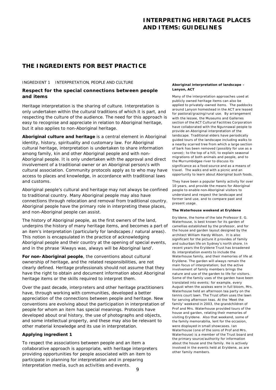# **THE INGREDIENTS FOR BEST PRACTICE**

#### INGREDIENT 1 INTERPRETATION, PEOPLE AND CULTURE

## *Respect for the special connections between people and items*

Heritage interpretation is the sharing of culture. Interpretation is only undertaken within the cultural traditions of which it is part, and respecting the culture of the audience. The need for this approach is easy to recognise and appreciate in relation to Aboriginal heritage, but it also applies to non-Aboriginal heritage.

**Aboriginal culture and heritage** is a central element in Aboriginal identity, history, spirituality and customary law. For Aboriginal cultural heritage, interpretation is undertaken to share information among family, kin and other Aboriginal people and with non-Aboriginal people. It is only undertaken with the approval and direct involvement of a traditional owner or an Aboriginal person/s with cultural association. Community protocols apply as to who may have access to places and knowledge, in accordance with traditional laws and customs.

Aboriginal people's cultural and heritage may not always be confined to traditional country. Many Aboriginal people may also have connections through relocation and removal from traditional country. Aboriginal people have the primary role in interpreting these places, and non-Aboriginal people can assist.

The history of Aboriginal people, as the first owners of the land, underpins the history of many heritage items, and becomes a part of an item's interpretation (particularly for landscapes / natural areas). This notion is encapsulated in the practice of acknowledging Aboriginal people and their country at the opening of special events, and in the phrase 'Always was, always will be Aboriginal land'.

**For non-Aboriginal people**, the conventions about cultural ownership of heritage, and the related responsibilities, are not clearly defined. Heritage professionals should not assume that they have the right to obtain and document information about Aboriginal heritage items or the skills required to interpret them.

Over the past decade, interp reters and other heritage practitioners have, through working with communities, developed a better appreciation of the connections between people and heritage. New conventions are evolving about the participation in interpretation of people for whom an item has special meanings. Protocols have developed about oral history, the use of photographs and objects, and some intellectual property, and these may also be relevant to other material knowledge and its use in interpretation.

## **Applying ingredient 1**

To respect the associations between people and an item a collaborative approach is appropriate, with heritage interpreters providing opportunities for people associated with an item to participate in planning for interpretation and in preparing interpretation media, such as activities and events.

#### **Aboriginal interpretation of landscape – Lanyon, ACT**

Many of the interpretation approaches used at publicly owned heritage items can also be applied to privately-owned items. The paddocks around Lanyon homestead in the ACT are leased for pastoral/grazing/rural use. By arrangement with the lessee, the Museums and Galleries section of the ACT Cultural Facilities Corporation have collaborated with the Ngunnawal people to provide an Aboriginal interpretation of the landscape. Traditional elders have periodically guided tours of the landscape including walks to a nearby scarred tree from which a large section of bark has been removed (possibly for use as a canoe); to the top of a hill, to explain seasonal migrations of both animals and people, and to the Murrumbidgee river to discuss its significance as a food source and as a means of travel. The walks end with a picnic and an opportunity to learn about Aboriginal bush foods.

They have been a popular family activity for over 10 years, and provide the means for Aboriginal people to enable non-Aboriginal visitors to understand and respect the landscape and former land use, and to compare past and present usage.

#### **The Waterhouse weekend at Eryldene**

Ery ldene, the home of the late Professor E. G. Waterhouse, is best known for its garden of camellias established by the professor, and for the house and garden layout designed by the architect William Hardy Wilson. It is also significant for the picture it provides of family and suburban life on Sydney's north shore. In recent years the Eryldene Trust has broadened its interpretation events to include the Waterhouse family, and their memories of life at Eryldene. The garden will always remain the main focus of interpretation; but the active involvement of family members brings the nature and use of the garden to life for visitors. Some of the family uses of the garden have been translated into events; for example, every August when the azaleas were in full bloom, Mrs. Waterhouse held an afternoon tea party on the tennis court lawn. The Trust often uses the lawn for serving afternoon teas. At the 'Meet the family' weekend in 2003, the grandchildren of Prof and Mrs. Waterhouse provided tours of the house and garden, relating their memories of visiting Eryldene. Also that weekend, some of the family memorabilia, lent for the occasion, were displayed in small showcases. Ian Waterhouse (one of the sons of Prof and Mrs. Waterhouse) is a member of the Trust board and the primary source/authority for information about the house and the family. He is actively involved in the events held at Eryldene, as are other family members.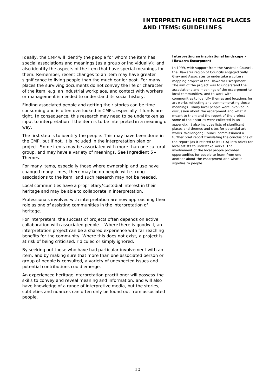Ideally, the CMP will identify the people for whom the item has special associations and meanings (as a group or individually); and also identify the aspects of the item that have special meanings for them. Remember, recent changes to an item may have greater significance to living people than the much earlier past. For many places the surviving documents do not convey the life or character of the item, e.g. an industrial workplace, and contact with workers or management is needed to understand its social history.

Finding associated people and getting their stories can be time consuming and is often overlooked in CMPs, especially if funds are tight. In consequence, this research may need to be undertaken as input to interpretation if the item is to be interpreted in a meaningful way.

The first step is to identify the people. This may have been done in the CMP, but if not, it is included in the interpretation plan or project. Some items may be associated with more than one cultural group, and may have a variety of meanings. See Ingredient 5 – Themes.

For many items, especially those where ownership and use have changed many times, there may be no people with strong associations to the item, and such research may not be needed.

Local communities have a proprietary/custodial interest in their heritage and may be able to collaborate in interpretation.

Professionals involved with interpretation are now approaching their role as one of assisting communities in the interpretation of heritage.

For interpreters, the success of projects often depends on active collaboration with associated people. Where there is goodwill, an interpretation project can be a shared experience with far reaching benefits for the community. Where this does not exist, a project is at risk of being criticised, ridiculed or simply ignored.

By seeking out those who have had particular involvement with an item, and by making sure that more than one associated person or group of people is consulted, a variety of unexpected issues and potential contributions could emerge.

An experienced heritage interpretation practitioner will possess the skills to convey and reveal meaning and information, and will also have knowledge of a range of interpretive media, but the stories, subtleties and nuances can often only be found out from associated people.

#### **Interpreting an inspirational landscape – Illawarra Escarpment**

In 1999, with support from the Australia Council, the Illawarra region of Councils engaged Sally Gray and Associates to undertake a cultural mapping project of the Illawarra Escarpment. The aim of the project was to understand the associations and meanings of the escarpment to local communities, and to work with communities to identify themes and locations for art works reflecting and commemorating those meanings. Many local people were involved in discussion about the escarpment and what it meant to them and the report of the project some of their stories were collected in an appendix. It also includes lists of significant places and themes and sites for potential art works. Wollongong Council commissioned a further brief report translating the conclusions of the report (as it related to its LGA) into briefs for local artists to undertake works. The involvement of the local people provided opportunities for people to learn from one another about the escarpment and what it signifies to people.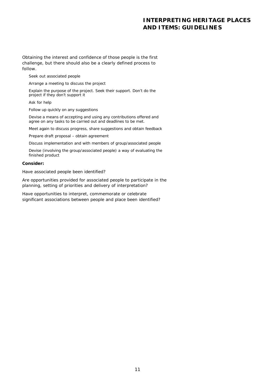Obtaining the interest and confidence of those people is the first challenge, but there should also be a clearly defined process to follow.

Seek out associated people

Arrange a meeting to discuss the project

Explain the purpose of the project. Seek their support. Don't do the project if they don't support it

Ask for help

Follow up quickly on any suggestions

Devise a means of accepting and using any contributions offered and agree on any tasks to be carried out and deadlines to be met.

Meet again to discuss progress, share suggestions and obtain feedback

Prepare draft proposal – obtain agreement

Discuss implementation and with members of group/associated people

Devise (involving the group/associated people) a way of evaluating the finished product

#### **Consider:**

*Have associated people been identified?*

*Are opportunities provided for associated people to participate in the planning, setting of priorities and delivery of interpretation?*

*Have opportunities to interpret, commemorate or celebrate significant associations between people and place been identified?*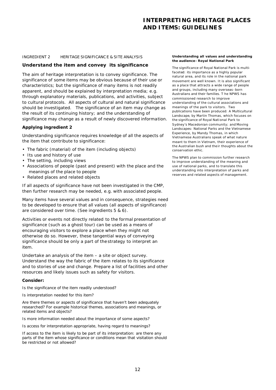#### INGREDIENT 2 HERITAGE SIGNIFICANCE & SITE ANALYSIS

## *Understand the item and convey its significance*

The aim of heritage interpretation is to convey significance. The significance of some items may be obvious because of their use or characteristics; but the significance of many items is not readily apparent, and should be explained by interpretation media; e.g. through explanatory materials, publications, and activities, subject to cultural protocols. All aspects of cultural and natural significance should be investigated. The significance of an item may change as the result of its continuing history; and the understanding of significance may change as a result of newly discovered information.

#### **Applying ingredient 2**

Understanding significance requires knowledge of all the aspects of the item that contribute to significance:

- The fabric (material) of the item (including objects)
- Its use and history of use
- The setting, including views
- Associations of people (past and present) with the place and the meanings of the place to people
- Related places and related objects

If all aspects of significance have not been investigated in the CMP, then further research may be needed, e.g. with associated people.

Many items have several values and in consequence, strategies need to be developed to ensure that all values (all aspects of significance) are considered over time. (See ingredients 5 & 6).

Activities or events not directly related to the formal presentation of significance (such as a ghost tour) can be used as a means of encouraging visitors to explore a place when they might not otherwise do so. However, these tangential ways of conveying significance should be only a part of the strategy to interpret an item.

Undertake an analysis of the item – a site or object survey. Understand the way the fabric of the item relates to its significance and to stories of use and change. Prepare a list of facilities and other resources and likely issues such as safety for visitors.

#### **Consider:**

*Is the significance of the item readily understood?*

*Is interpretation needed for this item?* 

*Are there themes or aspects of significance that haven't been adequately researched? For example historical themes, associations and meanings, or related items and objects?*

*Is more information needed about the importance of some aspects?*

*Is access for interpretation appropriate, having regard to meanings?*

*If access to the item is likely to be part of its interpretation: are there any parts of the item whose significance or conditions mean that visitation should be restricted or not allowed?*

#### **Understanding all values and understanding the audience- Royal National Park**

The significance of Royal National Park is multifaceted: its importance as a highly popular natural area, and its role in the national park movement are well known. It is also significant as a place that attracts a wide range of people and groups, including many overseas -born Australians and their families. T he NPWS has commissioned research to improve understanding of the cultural associations and meanings of the park to visitors. Two publications have been produced: *A Multicultural Landscape*, by Martin Thomas, which focuses on the significance of Royal National Park to Sydney's Macedonian community; and *Moving Landscapes: National Parks and the Vietnamese Experience*, by Mandy Thomas, in which Vietnamese Australians speak of what nature meant to them in Vietnam, their experience of the Australian bush and their thoughts about the conservation ethic.

The NPWS plan to commission further research to improve understanding of the meaning and use of national parks, and to translate this understanding into interpretation of parks and reserves and related aspects of management.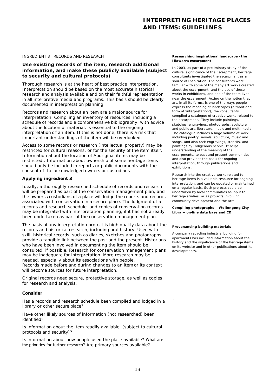#### INGREDIENT 3 RECORDS AND RESEARCH

# *Use existing records of the item, research additional information, and make these publicly available (subject to security and cultural protocols)*

Thorough research is at the heart of best practice interpretation. Interpretation should be based on the most accurate historical research and analysis available and on their faithful representation in all interpretive media and programs. This basis should be clearly documented in interpretation planning.

Records a nd research about an item are a major source for interpretation. Compiling an inventory of resources, including a schedule of records and a comprehensive bibliography, with advice about the location of material, is essential to the ongoing interpretation of an item. If this is not done, there is a risk that important understandings of the item will be overlooked.

Access to some records or research (intellectual property) may be restricted for cultural reasons, or for the security of the item itself. Information about the location of Aboriginal items may be restricted.. Information about ownership of some heritage items should only be included in reports or public documents with the consent of the acknowledged owners or custodians

# **Applying ingredient 3**

Ideally, a thoroughly researched schedule of records and research will be prepared as part of the conservation management plan, and the owners /custodians of a place will lodge the reports and records associated with conservation in a secure place. The lodgment of a records and research schedule, and copies of conservation records may be integrated with interpretation planning, if it has not already been undertaken as part of the conservation management plan.

The basis of any interpretation project is high quality data about the records and historical research, including oral history. Used with skill, historical records, such as diaries, sketches and photographs, provide a tangible link between the past and the present. Historians who have been involved in documenting the item should be consulted, if possible. Research for conservation management plans may be inadequate for interpretation. More research may be needed, especially about its associations with people. Records made before and during changes to an item or its context will become sources for future interpretation.

Original records need secure, protective storage, as well as copies for research and analysis.

#### **Consider**

*Has a records and research schedule been compiled and lodged in a library or other secure place?*

*Have other likely sources of information (not researched) been identified?*

*Is information about the item readily available, (subject to cultural protocols and security)?*

*Is information about how people used the place available? What are the priorities for further research? Are primary sources available?*

#### **Researching inspirational landscape –the Illawarra escarpment**

In 2003, as part of a preliminary study of the cultural significance of the Escarpment, heritage consultants investigated the escarpment as a source of Inspiration. The consultants were familiar with some of the many art works created about the escarpment, and the use of these works in exhibitions, and one of the team lived near the escarpment. Acting on the notion that art, in all its forms, is one of the ways people express the meaning of landscapes (a traditional form of 'interpretation'), the consultants compiled a catalogue of creative works related to the escarpment. They include paintings, sketches, engravings, photographs, sculpture and public art, literature, music and multi media. The catalogue includes a huge volume of work including poetry, novels, sculpture, music and songs, and also rock engravings, stencils, and paintings by Indigenous people. It helps understanding of the meaning of the escarpments, to past and present communities, and also provides the basis for ongoing interpretation, through publications and exhibitions.

Research into the creative works related to heritage items is a valuable resource for ongoing interpretation, and can be updated or maintained on a regular basis. Such projects could be undertaken by local communities as input to heritage studies, or as projects involving community development and the arts.

**Compiling photographs – Wollongong City Library on-line data base and CD** 

#### **Provenancing building materials**

`

A company recycling industrial building for apartments has included information about the history and the significance of the heritage items on its website and in other publications about its developments.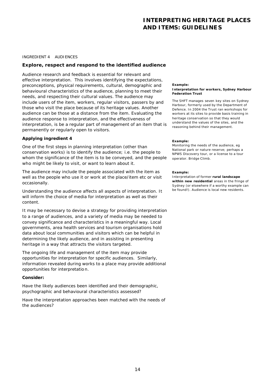INGREDIENT 4 AUDIENCES

## *Explore, respect and respond to the identified audience*

Audience research and feedback is essential for relevant and effective interpretation. This involves identifying the expectations, preconceptions, physical requirements, cultural, demographic and behavioural characteristics of the audience, planning to meet their needs, and respecting their cultural values. The audience may include users of the item, workers, regular visitors, passers by and those who visit the place because of its heritage values. Another audience can be those at a distance from the item. Evaluating the audience response to interpretation, and the effectiveness of interpretation, is be a regular part of management of an item that is permanently or regularly open to visitors.

## **Applying ingredient 4**

One of the first steps in planning interpretation (other than conservation works) is to identify the audience; i.e. the people to whom the significance of the item is to be conveyed, and the people who might be likely to visit, or want to learn about it.

The audience may include the people associated with the item as well as the people who use it or work at the place/item etc or visit occasionally.

Understanding the audience affects all aspects of interpretation. It will inform the choice of media for interpretation as well as their content.

It may be necessary to devise a strategy for providing interpretation to a range of audiences, and a variety of media may be needed to convey significance and characteristics in a meaningful way. Local governments, area health services and tourism organisations hold data about local communities and visitors which can be helpful in determining the likely audience, and in assisting in presenting heritage in a way that attracts the visitors targeted.

The ongoing life and management of the item may provide opportunities for interpretation for specific audiences. Similarly, information revealed during works to a place may provide additional opportunities for interpretatio n.

## **Consider:**

*Have the likely audiences been identified and their demographic, psychographic and behavioural characteristics assessed?*

*Have the interpretation approaches been matched with the needs of the audiences?*

#### **Example:**

#### **Interpretation for workers, Sydney Harbour Federation Trust**

The SHFT manages seven key sites on Sydney Harbour, formerly used by the Department of Defence. In 2004 the Trust ran workshops for workers at its sites to provide basis training in heritage conservation so that they would understand the values of the sites, and the reasoning behind their management.

#### **Example:**

Monitoring the needs of the audience, eg National park or nature reserve; perhaps a NPWS Discovery tour, or a license to a tour operator. Bridge Climb.

#### **Example:**

Interpretation of former **rural landscape within new residential** areas in the fringe of Sydney (or elsewhere if a worthy example can be found!). Audience is local new residents.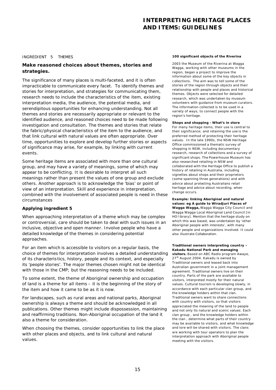#### INGREDIENT 5 THEMES

# *Make reasoned choices about themes, stories and strategies.*

The significance of many places is multi-faceted, and it is often impracticable to communicate every facet. To identify themes and stories for interpretation, and strategies for communicating them, research needs to include the characteristics of the item, existing interpretation media, the audience, the potential media, and serendipitous opportunities for enhancing understanding. Not all themes and stories are necessarily appropriate or relevant to the identified audience, and reasoned choices need to be made following investigation and consultation. The themes and stories that relate the fabric/physical characteristics of the item to the audience, and that link cultural with natural values are often appropriate. Over time, opportunities to explore and develop further stories or aspects of significance may arise, for example, by linking with current events.

Some heritage items are associated with more than one cultural group, and may have a variety of meanings, some of which may appear to be conflicting. It is desirable to interpret all such meanings rather than present the values of one group and exclude others. Another approach is to acknowledge the 'bias' or point of view of an interpretation. Skill and experience in interpretation, combined with the involvement of associated people is need in these circumstances

## **Applying ingredient 5**

When approaching interpretation of a theme which may be complex or controversial, care should be taken to deal with such issues in an inclusive, objective and open manner. Involve people who have a detailed knowledge of the themes in considering potential approaches.

For an item which is accessible to visitors on a regular basis, the choice of themes for interpretation involves a detailed understanding of its characteris tics, history, people and its context, and especially its 'people stories'. The major themes chosen might not be identical with those in the CMP; but the reasoning needs to be included.

To some extent, the theme of Aboriginal ownership and occupation of land is a theme for all items – it is the beginning of the story of the item and how it came to be as it is now.

For landscapes, such as rural areas and national parks, Aboriginal ownership is always a theme and should be acknowledged in all publications. Other themes might include dispossession, maintaining and reaffirming traditions. Non-Aboriginal occupation of the land it also a theme for consideration.

When choosing the themes, consider opportunities to link the place with other places and objects, and to link cultural and natural values.

#### **100 significant objects of the Riverina**

2003 the Museum of the Riverina at Wagga Wagga, working with other museums in the region, began a project to improve the information about some of the key objects in c ollections. The aim was to tell some of the stories of the region through objects and their relationship with people and places and historical themes. Objects were selected for detailed research, which was undertaken by museum volunteers with guidance from museum curators. The information collected is to be used in a variety of ways, to connect people with the region's heritage.

#### **Shops and shopping - What's in store**

For many heritage items, their use is central to their significance; and retaining the use is the preferred method of protecting their heritage values. In the late 1990s, the NSW Heritage Office commissioned a thematic survey of shopping in NSW, including documentary research, research of collections and a survey of significant shops. The Powerhouse Museum has also researched retailing in NSW and collaborated with the Heritage Office to publish a history of retailing in Australia, including vignettes about shops and their proprietors (some spanning three generations) and with advice about protecting Australians retail heritage and advice about recording, when change occurs.

**Example: linking Aboriginal and natural values: eg A guide to Wiradjuri Places of Wagga Wagga,** Wagga Wagga City Council and Wagga Wagga Local Aboriginal Land Council [in HO l ibrary]. Mention that the heritage study on which this was based, was undertaken by 'other Aboriginal people with interests', with many other people and organizations involved. It could also illustrate *Collaboration*.

**Traditional owners interpreting country – Kakadu National Park and managing visitors.** Based on ABC Radio program Awaye, 27<sup>th</sup> August 2004. Kakadu is owned by Traditional owners and leased back into Australian government in a joint management agreement. Traditional owners live on their country. Parts of the park are available to visitors, interpreted mostly for their natural values. Cultural tourism is developing slowly, in accordance with each particular clan group, and the knowledge holders within that clan. Traditional owners want to share connections with country with visitors, so that visitors appreciated the meaning of the land to people and not only its natural and scenic values. Each clan group , and the knowledge holders within the clan , determine what parts of their country may be available to visitors, and what knowledge and lore will be shared with visitors. The clans are working with tour operators to plan the interpretation approach with Aboriginal people meeting with the visitors.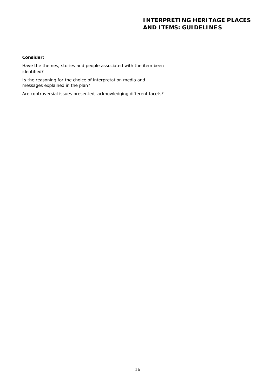## **Consider:**

*Have the themes, stories and people associated with the item been identified?* 

*Is the reasoning for the choice of interpretation media and messages explained in the plan?*

*Are controversial issues presented, acknowledging different facets*?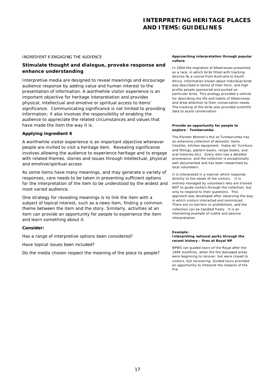#### INGREDIENT 6 ENGAGING THE AUDIENCE

# *Stimulate thought and dialogue, provoke response and enhance understanding*

Interpretive media are designed to reveal meanings and encourage audience response by adding value and human interest to the presentation of information. A worthwhile visitor experience is an important objective for heritage interpretation and provides physical, intellectual and emotive or spiritual access to items' significance. Communicating significance is not limited to providing information; it also involves the responsibility of enabling the audience to appreciate the related circumstances and values that have made the item the way it is.

#### **Applying ingredient 6**

A worthwhile visitor experience is an important objective whenever people are invited to visit a heritage item. Revealing significance involves allowing the audience to experience heritage and to engage with related themes, stories and issues through intellectual, physical and emotive/spiritual access

As some items have many meanings, and may generate a variety of responses, care needs to be taken in presenting sufficient options for the interpretation of the item to be understood by the widest and most varied audience.

One strategy for revealing meanings is to link the item with a subject of topical interest, such as a news item, finding a common theme between the item and the story. Similarly, activities at an item can provide an opportunity for people to experience the item and learn something about it.

#### **Consider:**

*Has a range of interpretive options been considered?*

*Have topical issues been included?*

*Do the media chosen respect the meaning of the place to people?*

#### **Approaching interpretation through popular culture**

In 2004 the migration of Albatrosses presented as a race, in which birds fitted with tracking devices fly a course from Australia to South Africa. Information known about individual birds was described in terms of their form, and high profile people sponsored and punted on particular birds. This analogy provided a vehicle for describing the life and habits of Albatrosses and drew attention to their conservation needs. The tracking of the birds also provided scientific data to assist conservation

#### **Provide an opportunity for people to explore - Tumbarumba**

The Pioneer Women's Hut at Tumbarumba has an extensive collection of domestic items (textiles, kitchen equipment, 'make-do' furniture and fittings, pattern books, recipe books, and oral histories etc). Every item has a detailed provenance, and the collection is exceptionally well documented and has been researched by local volunteers.

It is interpreted in a manner which responds directly to the needs of the visitors. It is entirely managed by volunteers who are trained NOT to guide visitors through the collection, but only to respond to their questions. This approach was developed after observing the way in which visitors interacted and reminisced. There are no barriers or prohibitions, and the collection can be handled freely. It is an interesting example of subtle and passive interpretation.

#### **Example:**

#### **Interpreting national parks through the recent history – fires at Royal NP**

NPWS ran guided tours of the Royal after the 1994 bushfires, when the fire damaged areas were beginning to recover, but were closed to visitors, but recovering. Guided tours provided an opportunity to interpret the impacts of the fire.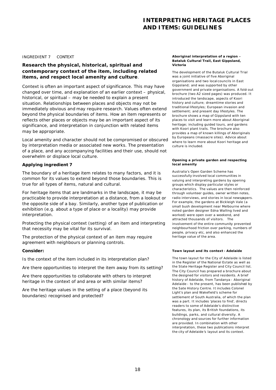#### INGREDIENT 7 CONTEXT

# *Research the physical, historical, spiritual and contemporary context of the item, including related items, and respect local amenity and culture.*

Context is often an important aspect of significance. This may have changed over time, and explanation of an earlier context – physical, historical, or spiritual – may be needed to explain a present situation. Relationships between places and objects may not be immediately obvious and may require research. Values often extend beyond the physical boundaries of items. How an item represents or reflects other places or objects may be an important aspect of its significance, and interpretation in conjunction with related items may be appropriate.

Local amenity and character should not be compromised or obscured by interpretation media or associated new works. The presentation of a place, and any accompanying facilities and their use, should not overwhelm or displace local culture.

## **Applying ingredient 7**

The boundary of a heritage item relates to many factors, and it is common for its values to extend beyond those boundaries. This is true for all types of items, natural and cultural.

For heritage items that are landmarks in the landscape, it may be practicable to provide interpretation at a distance, from a lookout or the opposite side of a bay. Similarly, another type of publication or exhibition (e.g. about a type of place or a locality) may provide interpretation.

Protecting the physical context (setting) of an item and interpreting that necessity may be vital for its survival.

The protection of the physical context of an item may require agreement with neighbours or planning controls.

#### **Consider:**

*Is the context of the item included in its interpretation plan?*

*Are there opportunities to interpret the item away from its setting?*

*Are there opportunities to collaborate with others to interpret heritage in the context of and area or with similar items?*

*Are the heritage values in the setting of a place (beyond its boundaries) recognised and protected?*

#### **Aboriginal interpretation of a region - Bataluk Cultural Trail, East Gippsland, Victoria**

The development of the Butaluk Cultural Trial was a joint initiative of five Aboriginal organisations and two local councils in East Gippsland; and was supported by other government and private organisations. A fold-out brochure (two A2 sized pages) was produced. It introduced the landscape, aspects of Koori history and culture; dreamtime stories and traditional lifestyles; European invasion and settlement; and present day lifestyles. The brochure shows a map of Gippsland with ten places to visit and learn more about Aboriginal heritage; including guided tours, and gardens with Koori plant trails. The brochure also provides a map of known killings of Aboriginals by Europeans (massacre sites). Advice about where to learn more about Koori heritage and culture is included.

#### **Opening a private garden and respecting local amenity**

Australia's Open Garden Scheme has successfully involved local communities in valuing and interpreting gardens by opening groups which display particular styles or characteristics. The values are then reinforced through volunteer guides, owner written notes, radio interviews, and stories in local newspapers. For example, the gardens at Bickleigh Vale (a small bush development near Melbourne where noted garden designer Edna Walling lived and worked) were open over a weekend, and attracted thousands of visitors. The involvement of the entire community prevented neighbourhood friction over parking, numbers of people, privacy etc, and also enhanced the heritage value of the area.

#### **Town layout and its context - Adelaide**

The town layout for the City of Adelaide is listed in the Register of the National Es tate as well as the State Heritage Register and City Council list. The City Council has prepared a brochure about the designed for visitors and residents. A brief history of Adelaide, from Tandanya - Aboriginal Adelaide - to the present, has been published by the Sate History Centre. It includes Colonel Light's plan and Wakefield's scheme for settlement of South Australia, of which the plan was a part. It includes 'places to find', directs readers to some of Adelaide's distinctive features, its plan, its British foundations, its buildings, parks, and cultural diversity. A chronology and sources for further information are provided. In combination with other interpretation, these two publications interpret the city of Adelaide's layout and its context.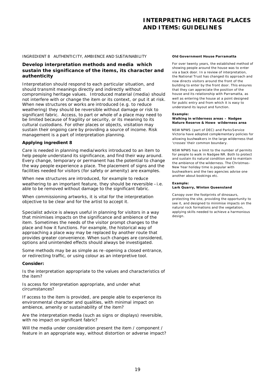#### INGREDIENT 8 AUTHENTICITY, AMBIENCE AND SUSTAINABILITY

# *Develop interpretation methods and media which sustain the significance of the items, its character and authenticity*

Interpretation should respond to each particular situation, and should transmit meanings directly and indirectly without compromising heritage values. Introduced material (media) should not interfere with or change the item or its context, or put it at risk. When new structures or works are introduced (e.g. to reduce weathering) they should be reversible without damage or risk to significant fabric. Access, to part or whole of a place may need to be limited because of fragility or security, or its meaning to its cultural custodians. For other places or objects, visitation may sustain their ongoing care by providing a source of income. Risk management is a part of interpretation planning.

#### **Applying ingredient 8**

Care is needed in planning media/works introduced to an item to help people understand its significance, and find their way around. Every change, temporary or permanent has the potential to change the way people experience a place. The placement of signs and the facilities needed for visitors (for safety or amenity) are examples.

When new structures are introduced, for example to reduce weathering to an important feature, they should be reversible -i.e. able to be removed without damage to the significant fabric.

When commissioning artworks, it is vital for the interpretation objective to be clear and for the artist to accept it.

Specialist advice is always useful in planning for visitors in a way that minimises impacts on the significance and ambience of the item. Sometimes the needs of the visitor prompt changes to the place and how it functions. For example, the historical way of approaching a place way may be replaced by another route that provides greater convenience. When such changes are considered, options and *unintended effects* should always be investigated.

Some methods may be as simple as re -opening a closed entrance, or redirecting traffic, or using colour as an interpretive tool.

#### **Consider:**

*Is the interpretation appropriate to the values and characteristics of the item?*

*Is access for interpretation appropriate, and under what circumstances?*

*If access to the item is provided, are people able to experience its environmental character and qualities, with minimal impact on ambience, amenity or sustainability of the item?* 

*Are the interpretation media (such as signs or displays) reversible, with no impact on significant fabric?*

*Will the media under consideration present the item / component / feature in an appropriate way, without distortion or adverse impact?* 

#### **Old Government House Parramatta**

For over twenty years, the established method of showing people around the house was to enter via a back door. In a review of interpretation, the National Trust has changed its approach and now directs visitors around the front of the building to enter by the front door. This ensures that they can appreciate the position of the house and its relationship with Parramatta, as well as entering the house at a point designed for public entry and from which it is easy to understand its layout and function.

#### **Example:**

#### **Walking in wilderness areas – Nadgee Nature Reserve & Howe wilderness area**

NSW NPWS (part of DEC) and Parks Service Victoria have adopted complementary policies for allowing bushwalkers in the large wilderness that 'crosses' their common boundary.

NSW NPWS has a limit to the number of permits for people to walk in Nadgee NR. Both to protect and sustain its natural condition and to maintain the ambience of the wilderness. The Christmas - New Year holiday time is popular with bushwalkers and the two agencies advise one another about bookings etc.

#### **Example:**

#### **Lark Quarry, Winton Queensland**

Canopy over the footprints of dinosaurs, protecting the site, providing the opportunity to see it, and designed to minimise impacts on the natural rock formations and the vegetation, applying skills needed to achieve a harmonious design.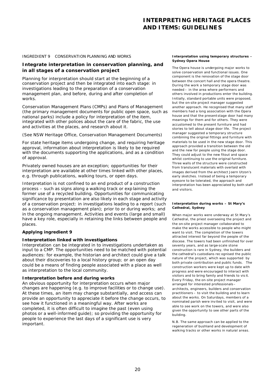#### INGREDIENT 9 CONSERVATION PLANNING AND WORKS

## *Integrate interpretation in conservation planning, and in all stages of a conservation project*

Planning for interpretation should start at the beginning of a conservation project and then be integrated into each stage: in investigations leading to the preparation of a conservation management plan, and before, during and after completion of works.

Conservation Management Plans (CMPs) and Plans of Management (the primary management documents for public open space, such as national parks) include a policy for interpretation of the item, integrated with other polices about the care of the fabric, the use and activities at the places, and research about it.

#### (See NSW Heritage Office, *Conservation Management Documents*)

For state heritage items undergoing change, and requiring heritage approval, information about interpretation is likely to be required with the documents supporting the applications, and as a condition of approval.

Privately owned houses are an exception; opportunities for their interpretation are available at other times linked with other places, e.g. through publications, walking tours, or open days.

Interpretation is not confined to an end product of a construction process – such as signs along a walking track or exp laining the former use of a recycled building. Opportunities for communicating significance by presentation are also likely in each stage and activity of a conservation project: in investigations leading to a report (such as a conservation management plan); prior to or during works; and in the ongoing management. Activities and events (large and small) have a key role, especially in retaining the links between people and places.

## **Applying ingredient 9**

## **Interpretation linked with investigations**

Interpretation can be integrated in to investigations undertaken as input to a CMP. The opportunities need to be matched with potential audiences: for example, the historian and architect could give a talk about their discoveries to a local history group; or an open day could be a means of finding people associated with a place as well as interpretation to the local community.

#### **Interpretation before and during works**

An obvious opportunity for interpretation occurs when major changes are happening (e.g. to improve facilities or to change use). At these times, an item may change substantially, and access can provide an opportunity to appreciate it before the change occurs, to see how it functioned in a meaningful way. After works are completed, it is often difficult to imagine the past (even using photos or a well-informed guide); so providing the opportunity for people to experience the last days of a significant use is very important.

#### **Interpretation using temporary structures - Sydney Opera House**

The Opera house is undergoing major works to solve conservation and functional issues. One component is the renovation of the stage door between the concert hall and the opera theatre. During the work a temporary stage door was needed – in the area where performers and others involved in productions enter the building. Initially, standard portable units were proposed, but the on-site project manager suggested another approach. He recognised that many staff members had a long association with the Opera house and that the present stage door had many meanings for them and for others. They were accustomed to the present furniture and had stories to tell about stage door life. The project manager suggested a temporary structure combining the original fittings and furniture with materials to be used in the new stage door. This approach provided a transition between the old and the new for people using the stage door. They could adjust to the new fitout and space whilst continuing to use the original furniture. Three walls of the structure were constructed from translucent materials with overlaid with images derived from the architect Joern Utzon's early sketches. Instead of being a temporary eyesore to be tolerated, the approach and interpretation has been appreciated by both staff and visitors.

#### **Interpretation during works – St Mary's Cathedral, Sydney**

When major works were underway at St Mary's Cathedral, the priest overseeing the project and the on-site project manager collaborated to make the works accessible to people who might want to visit. The completion of the towers attracted interest far beyond the people of the diocese. The towers had been unfinished for over seventy years, and as large-scale stone construction is rare in Sydney, the builders and the cathedral's custodians rec ognised the public nature of the project, which was supported by both private contribution and public funds. The construction workers were kept up to date with progress and were encouraged to interact with visitors and to bring family and friends to vis it. Every Friday, the on-site project manager arranged for interested professionals – architects, engineers, builders and conservation practitioners – to visit the building and to learn about the works. On Saturdays, members of a nominated parish were invited to visit, and were able to see work on the towers, and were also given the opportunity to see other parts of the building.

N.B. The same approach can be applied to the regeneration of bushland and development of walking tracks or other works in natural areas.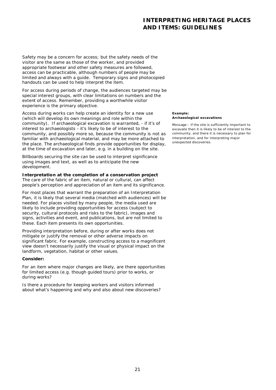Safety may be a concern for access; but the safety needs of the visitor are the same as those of the worker, and provided appropriate footwear and other safety measures are followed, access can be practicable, although numbers of people may be limited and always with a guide. Temporary signs and photocopied handouts can be used to help interpret the item.

For access during periods of change, the audiences targeted may be special interest groups, with clear limitations on numbers and the extent of access. Remember, providing a worthwhile visitor experience is the primary objective.

Access during works can help create an identity for a new use (which will develop its own meanings and role within the community). If archaeological excavation is warranted, - if it's of interest to archaeologists - it's likely to be of interest to the community, and possibly more so, because the community is not as familiar with archaeological material, and may be more attached to the place. The archaeological finds provide opportunities for display, at the time of excavation and later, e.g. in a building on the site.

Billboards securing the site can be used to interpret significance using images and text, as well as to anticipate the new development.

## **Interpretation at the completion of a conservation project**

The care of the fabric of an item, natural or cultural, can affect people's perception and appreciation of an item and its significance.

For most places that warrant the preparation of an Interpretation Plan, it is likely that several media (matched with audiences) will be needed. For places visited by many people, the media used are likely to include providing opportunities for access (subject to security, cultural protocols and risks to the fabric), images and signs, activities and event, and publications, but are not limited to these. Each item presents its own opportunities.

Providing interpretation before, during or after works does not mitigate or justify the removal or other adverse impacts on significant fabric. For example, constructing access to a magnificent view doesn't necessarily justify the visual or physical impact on the landform, vegetation, habitat or other values.

## **Consider:**

*For an item where major changes are likely, are there opportunities for limited access (e.g. though guided tours) prior to works, or during works?*

*Is there a procedure for keeping workers and visitors informed about what's happening and why and also about new discoveries?*

#### **Example: Archaeological excavations**

Message – if the site is sufficiently important to excavate then it is likely to be of interest to the community, and there it is necessary to plan for interpretation, and for interpreting major unexpected discoveries.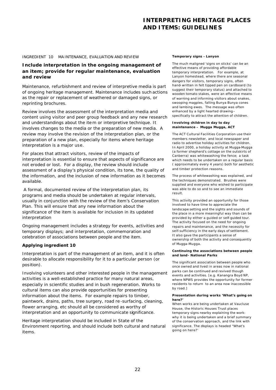#### INGREDIENT 10 MAINTENANCE, EVALUATION AND REVIEW

# *Include interpretation in the ongoing management of an item; provide for regular maintenance, evaluation and review*

Maintenance, refurbishment and review of interpretive media is part of ongoing heritage management. Maintenance includes such actions as the repair or replacement of weathered or damaged signs, or reprinting brochures.

Review involves the assessment of the interpretation media and content using visitor and peer group feedback and any new research and understandings about the ite m or interpretive technique. It involves changes to the media or the preparation of new media. A review may involve the revision of the interpretation plan, or the preparation of a new plan, especially for items where heritage interpretation is a major use.

For places that attract visitors, review of the impacts of interpretation is essential to ensure that aspects of significance are not eroded or lost. For a display, the review should include assessment of a display's physical condition, its tone, the quality of the information, and the inclusion of new information as it becomes available.

 A formal, documented review of the interpretation plan, its programs and media should be undertaken at regular intervals, usually in conjunction with the review of the item's Conservation Plan. This will ensure that any new information about the significance of the item is available for inclusion in its updated interpretation

Ongoing management includes a strategy for events, activities and temporary displays; and interpretation, commemoration and celebration of associations between people and the item.

#### **Applying ingredient 10**

Interpretation is part of the management of an item, and it is often desirable to allocate responsibility for it to a particular person (or position).

Involving volunteers and other interested people in the management activities is a well-established practice for many natural areas, especially in scientific studies and in bush regeneration. Works to cultural items can also provide opportunities for presenting information about the items. For example repairs to timber, paintwork, drains, paths, tree surgery, road re -surfacing, cleaning, flower arranging, etc should all be considered as worthy of interpretation and an opportunity to communicate significance.

Heritage interpretation should be included in State of the Environment reporting, and should include both cultural and natural items.

#### **Temporary signs - Lanyon**

The much maligned 'signs on sticks' can be an effective means of providing affordable temporary interpretation. For example, at Lanyon homestead, where there are seasonal dangers for visitors, temporary signs, often hand-written in felt tipped pen on cardboard (to suggest their temporary status) and attached to wooden tomato stakes, were an effective means of warning and informing visitors about snakes, swooping magpies, falling Bunya Bunya cones and lambing ewes. The message was often enhanced by a light hearted drawing – specifically to attract the attention of children.

#### **Involving children in day to day maintenance – Mugga Mugga, ACT**

The ACT Cultural Facilities Corporation use their members newsletter, and local newspaper and radio to advertise holiday activities for children. In April 2000, a holiday activity at Mugga-Mugga (a former shepherd's cottage on the outskirts of Canberra) was whitewashing the fence; a task which needs to be undertaken on a regular basis ( approximately every 4 years) both for aesthetic and timber protection reasons.

The process of whitewashing was explained, and the techniques demonstrated. Brushes were supplied and everyone who wished to participate was able to do so and to see an immediate result.

This activity provided an opportunity for those involved to have time to appreciate the landscape setting and the sights and sounds of the place in a more meaningful way than can be provided by either a guided or self-guided tour. The activity focused on the need for ongoing repairs and maintenance, and the necessity for self-sufficiency in the early days of settlement. It also gave the participants a sense of ownership of both the activity and consequently of Mugga-Mugga.

#### **Continuing the associations between people and land- National Parks**

The significant association between people who once owned and lived in areas now in national parks can be continued and revived though events and activities. [e.g. Kanangra Boyd NP, where NPWS provides the opportunity for former residents to return to an area now inaccessible by road.]

#### **Presentation during works 'What's going on here?'**

When works are being undertaken at Vaucluse House, the Historic Houses Trust places temporary signs nearby explaining the work: why it is being undertaken and a brief summary of the conservation approach, and the link with significance. The displays is headed "What's going on here?'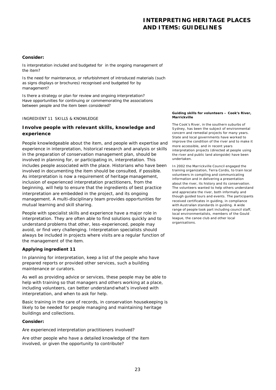#### **Consider:**

*Is interpretation included and budgeted for in the ongoing management of the item?*

*Is the need for maintenance, or refurbishment of introduced materials (such as signs displays or brochures) recognised and budgeted for by management?* 

*Is there a strategy or plan for review and ongoing interpretation? Have opportunities for continuing or commemorating the associations between people and the item been considered?*

#### INGREDIENT 11 SKILLS & KNOWLEDGE

# *Involve people with relevant skills, knowledge and experience*

People knowledgeable about the item, and people with expertise and experience in interpretation, historical research and analysis or skills in the preparation of conservation management plan, should be involved in planning for, or participating in, interpretation. This includes people associated with the place. Historians who have been involved in documenting the item should be consulted, if possible. As interpretation is now a requirement of heritage management, inclusion of experienced interpretation practitioners, from the beginning, will help to ensure that the ingredients of best practice interpretation are embedded in the project, and its ongoing management. A multi-disciplinary team provides opportunities for mutual learning and skill sharing.

People with specialist skills and experience have a major role in interpretation. They are often able to find solutions quickly and to understand problems that other, less-experienced, people may avoid, or find very challenging. Interpretation specialists should always be included in projects where visits are a regular function of the management of the item.

## **Applying ingredient 11**

In planning for interpretation, keep a list of the people who have prepared reports or provided other services, such a building maintenance or curators.

As well as providing advice or services, these people may be able to help with training so that managers and others working at a place, including volunteers, can better understand what's involved with interpretation, and when to ask for help.

Basic training in the care of records, in conservation housekeeping is likely to be needed for people managing and maintaining heritage buildings and collections.

## **Consider:**

## *Are experienced interpretation practitioners involved?*

*Are other people who have a detailed knowledge of the item involved, or given the opportunity to contribute?*

#### **Guiding skills for volunteers – Cook's River, Marrickville**

The Cook's River, in the southern suburbs of Sydney, has been the subject of environmental concern and remedial projects for many years. State and local governments have worked to improve the condition of the river and to make it more accessible, and in recent years interpretation projects (directed at people using the river and public land alongside) have been undertaken.

In 2002 the Marrickville Council engaged the training organization, Terra Cordis, to train local volunteers in compiling and communicating information and in delivering a presentation about the river, its history and its conservation. The volunteers wanted to help others understand and appreciate the river, both informally and though guided tours and events. The participants received certificates in guiding, in compliance with Australian standards in guiding. A wide range of people took part including council staff, local environmentalists, members of the Gould league, the canoe club and other local organisations.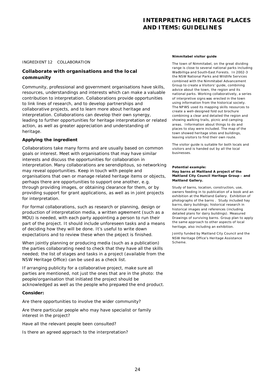#### INGREDIENT 12COLLABORATION

# *Collaborate with organisations and the local community*

Community, professional and government organisations have skills, resources, understandings and interests which can make a valuable contribution to interpretation. Collaborations provide opportunities to link lines of research, and to develop partnerships and collaborative projects, and to learn more about heritage and interpretation. Collaborations can develop their own synergy, leading to further opportunities for heritage interpretation or related action, as well as greater appreciation and understanding of heritage.

#### **Applying the ingredient**

Collaborations take many forms and are usually based on common goals or interest. Meet with organisations that may have similar interests and discuss the opportunities for collaboration in interpretation. Many collaborations are serendipitous, so networking may reveal opportunities. Keep in touch with people and organisations that own or manage related heritage items or objects, perhaps there are opportunities to support one another, e.g. through providing images, or obtaining clearance for them, or by providing support for grant applications, as well as in joint projects for interpretation.

For formal collaborations, such as research or planning, design or production of interpretation media, a written agreement (such as a MOU) is needed, with each party appointing a person to run their part of the project. It should include unforeseen tasks and a means of deciding how they will be done. It's useful to write down expectations and to review these when the project is finished.

When jointly planning or producing media (such as a publication) the parties collaborating need to check that they have all the skills needed; the list of stages and tasks in a project (available from the NSW Heritage Office) can be used as a check list.

If arranging publicity for a collaborative project, make sure all parties are mentioned, not just the ones that are in the photo: the people/organisation that initiated the project should be acknowledged as well as the people who prepared the end product.

#### **Consider:**

*Are there opportunities to involve the wider community?*

*Are there particular people who may have specialist or family interest in the project?*

# *Have all the relevant people been consulted?*

*Is there an agreed approach to the interpretation?*

#### **Nimmitabel visitor guide**

The town of Nimmitabel, on the great dividing range is close to several national parks including Wadbilliga and South-East Forests. In 2002-3 the NSW National Parks and Wildlife Services combined with the Nimmitabel Advancement Group to create a Visitors' guide, combining advice about the town, the region and its national parks. Working collaboratively, a series of interpretive signs was erected in the town using information from the historical society. The NPWS used its mapping skills resources to create a well-designed fold out brochure combining a clear and detailed the region and showing walking trails, picnic and camping areas. Information about things to do and places to stay were included. The map of the town showed heritage sites and buildings, leaving visitors to find their own route.

The visitor guide is suitable for both locals and visitors and is handed out by all the local businesses.

#### **Potential example: Hay barns at Maitland A project of the Maitland City Council Heritage Group – and Maitland Gallery.**

Study of barns, location, construction, use, owners feeding in to publication of a book and an exhibition at the Maitland Gallery. Exhibition of photographs of the barns . Study included hay barns, dairy buildings; historical research in historical images and references (including detailed plans for dairy buildings). Measured Drawings of surviving barns. Group plan to apply the same approach to other aspects of local heritage, also including an exhibition.

Jointly funded by Maitland City Council and the NSW Heritage Office's Heritage Assistance Scheme.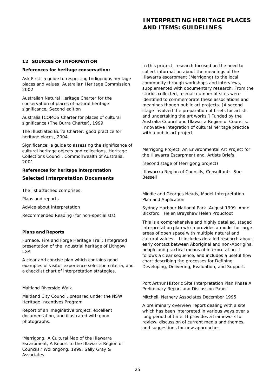#### **12 SOURCES OF INFORMATION**

#### **References for heritage conservation:**

*Ask First: a guide to respecting Indigenous heritage places and values*, Australian Heritage Commission 2002

*Australian Natural Heritage Charter for the conservation of places of natural heritage significance*, Second edition

*Australia ICOMOS Charter for places of cultural significance (The Burra Charter),* 1999

*The Illustrated Burra Charter: good practice for heritage places*, 2004

*Significance: a guide to assessing the significance of cultural heritage objects and collections*, Heritage Collections Council, Commonwealth of Australia, 2001

# **References for heritage interpretation Selected Interpretation Documents**

The list attached comprises:

Plans and reports

Advice about interpretation

Recommended Reading (for non-specialists)

## **Plans and Reports**

*Furnace, Fire and Forge Heritage Trail: Integrated presentation of the Industrial heritage of Lithgow LGA*

A clear and concise plan which contains good examples of visitor experience selection criteria, and a checklist chart of interpretation strategies.

## *Maitland Riverside Walk*

Maitland City Council, prepared under the NSW Heritage Incentives Program

Report of an imaginative project, excellent documentation, and illustrated with good photographs.

*'Merrigong: A Cultural Map of the Illawarra Escarpment, A Report to the Illawarra Region of Councils,' Wollongong, 1999, Sally Gray & Associates*

In this project, research focused on the need to collect information about the meanings of the Illawarra escarpment (Merrigong) to the local community through workshops and interviews, supplemented with documentary research. From the stories collected, a small number of sites were identified to commemorate these associations and meanings though public art projects. [A second stage involved the preparation of briefs for artists and undertaking the art works.] Funded by the Australia Council and Illawarra Region of Councils. Innovative integration of cultural heritage practice with a public art project

*Merrigong Project, An Environmental Art Project for the Illawarra Escarpment and Artists Briefs.* 

(second stage of Merrigong project)

Illawarrra Region of Councils, Consultant: Sue Bessell

## *Middle and Georges Heads, Model Interpretation Plan and Application*

Sydney Harbour National Park August 1999 Anne Bickford Helen Brayshaw Helen Proudfoot

This is a comprehensive and highly detailed, staged interpretation plan which provides a model for large areas of open space with multiple natural and cultural values. It includes detailed research about early contact between Aboriginal and non-Aboriginal people and practical means of interpretation. I follows a clear sequence, and includes a useful flow chart describing the processes for Defining, Developing, Delivering, Evaluation, and Support.

## *Port Arthur Historic Site Interpretation Plan Phase A Preliminary Report and Discussion Paper*

Mitchell, Nethery Associates December 1995

A preliminary overview report dealing with a site which has been interpreted in various ways over a long period of time. It provides a framework for review, discussion of current media and themes, and suggestions for new approaches.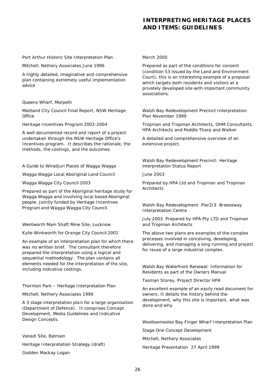#### *Port Arthur Historic Site Interpretation Plan*

Mitchell, Nethery Associates June 1996

A highly detailed, imaginative and comprehensive plan containing extremely useful implementation advice

## *Queens Wharf, Morpeth*

Maitland City Council Final Report, NSW Heritage **Office** 

Heritage Incentives Program 2002-2004

A well documented record and report of a project undertaken through the NSW Heritage Office's Incentives program. It describes the rationale, the methods, the costings, and the outcomes.

## *A Guide to Wiradjuri Places of Wagga Wagga*

Wagga Wagga Local Aboriginal Land Council

Wagga Wagga City Council 2003

Prepared as part of the Aboriginal heritage study for Wagga Wagga and involving local based Aboriginal people. Jointly funded by Heritage Incentives Program and Wagga Wagga City Council.

## *Wentworth Main Shaft Mine Site, Lucknow*

Kylie Winkworth for Orange City Council 2001

An example of an interpretation plan for which there was no written brief. The consultant therefore prepared the interpretation using a logical and sequential methodology. The plan contains all elements needed for the interpretation of the site, including indicative costings.

## *Thornton Park – Heritage Interpretation Plan*

Mitchell, Nethery Associates 1996

A 3 stage interpretation pla n for a large organisation (Department of Defence). It comprises Concept Development, Media Guidelines and Indicative Design Concepts.

*Vanadi Site, Balmain Heritage Interpretation Strategy (draft)* Godden Mackay Logan

#### March 2000

Prepared as part of the conditions for consent (condition 53 issued by the Land and Environment Court), this is an interesting example of a proposal which targets both residents and visitors at a privately developed site with important community associations.

#### *Walsh Bay Redevelopment Precinct Interpretation Plan November 1999*

Tropman and Tropman Architects, OHM Consultants, HPA Architects and Peddle Thorp and Walker

A detailed and comprehensive overview of an extensive project.

*Walsh Bay Redevelopment Precinct: Heritage interpretation Status Report*

June 2003

Prepared by HPA Ltd and Tropman and Tropman Architects

## *Walsh Bay Redevelopment Pier2/3 Breezeway Interpretation Centre*

July 2003 Prepared by HPA Pty LTD and Tropman and Tropman Architects

The above two plans are examples of the complex processes involved in conceiving, developing, delivering, and managing a long running and project for reuse of a large industrial complex.

*Walsh Bay Waterfront Renewal: Information for Residents as part of the Owners Manual*

Tasman Storey, Project Director HPA

An excellent example of an easily read document for owners. It details the history behind the development, why this site is important, what was done and why

*Woolloomooloo Bay Finger Wharf Interpretation Plan*

*Stage One Concept Development* 

Mitchell, Nethery Associates

Heritage Presentation 27 April 1999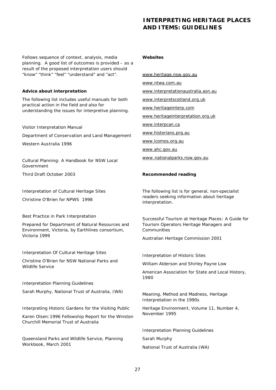Follows sequence of context, analysis, media planning. A good list of outcomes is provided – as a result of the proposed interpretation users should "know" "think" "feel" "understand" and "act".

## **Advice about interpretation**

The following list includes useful manuals for both practical action in the field and also for understanding the issues for interpretive planning.

## *Visitor Interpretation Manual*

Department of Conservation and Land Management

Western Australia 1996

*Cultural Planning: A Handbook for NSW Local Government* 

Third Draft October 2003

*Interpretation of Cultural Heritage Sites*

Christine O'Brien for NPWS 1998

# *Best Practice in Park Interpretation*

Prepared for Department of Natural Resources and Environment, Victoria, by Earthlines consortium, Victoria 1999

# *Interpretation Of Cultural Heritage Sites*

Christine O'Brien for NSW National Parks and Wildlife Service

## *Interpretation Planning Guidelines*

Sarah Murphy, National Trust of Australia, (WA)

*Interpreting Historic Gardens for the Visiting Public*

Karen Olsen:1996 Fellowship Report for the Winston Churchill Memorial Trust of Australia

*Queensland Parks and Wildlife Service, Planning Workbook, March 2001*

## **Websites**

www.heritage.nsw.gov.au www.ntwa.com.au www.interpretationaustralia.asn.au www.interpretscotland.org.uk www.heritageinterp.com www.heritageinterpretation.org.uk www.interpcan.ca www.historians.prg.au www.icomos.org.au www.ahc.gov.au

www.nationalparks.nsw.gov.au

## **Recommended reading**

The following list is for general, non-specialist readers seeking information about heritage interpretation.

*Successful Tourism at Heritage Places: A Guide for Tourism Operators Heritage Managers and Communities* 

Australian Heritage Commission 2001

*Interpretation of Historic Sites*

William Alderson and Shirley Payne Low

American Association for State and Local History, 1980

*Meaning, Method and Madness, Heritage Interpretation in the 1990s*

Heritage Environment, Volume 11, Number 4, November 1995

*Interpretation Planning Guidelines*

Sarah Murphy

National Trust of Australia (WA)